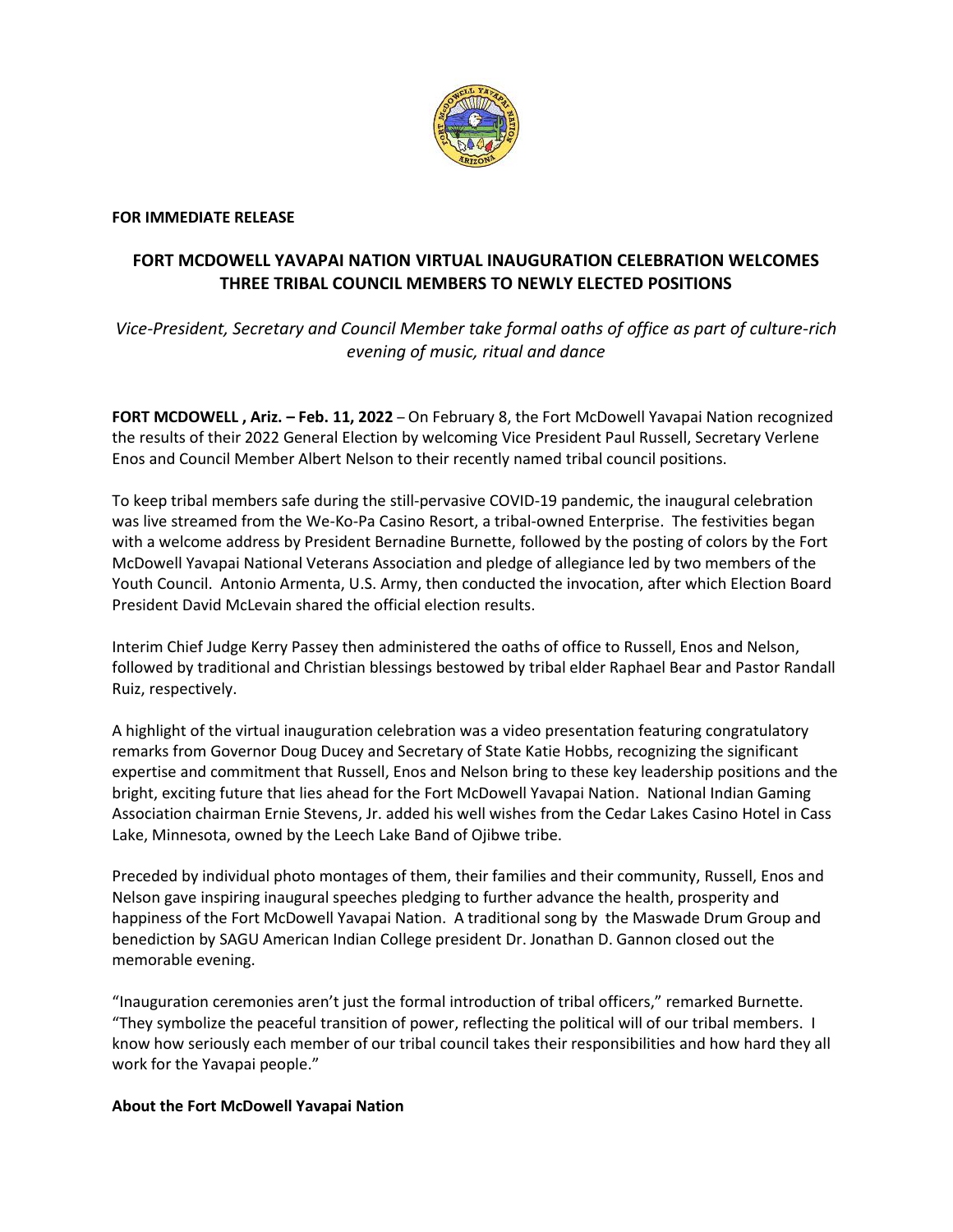

## **FOR IMMEDIATE RELEASE**

## **FORT MCDOWELL YAVAPAI NATION VIRTUAL INAUGURATION CELEBRATION WELCOMES THREE TRIBAL COUNCIL MEMBERS TO NEWLY ELECTED POSITIONS**

*Vice-President, Secretary and Council Member take formal oaths of office as part of culture-rich evening of music, ritual and dance*

**FORT MCDOWELL , Ariz. – Feb. 11, 2022** – On February 8, the Fort McDowell Yavapai Nation recognized the results of their 2022 General Election by welcoming Vice President Paul Russell, Secretary Verlene Enos and Council Member Albert Nelson to their recently named tribal council positions.

To keep tribal members safe during the still-pervasive COVID-19 pandemic, the inaugural celebration was live streamed from the We-Ko-Pa Casino Resort, a tribal-owned Enterprise. The festivities began with a welcome address by President Bernadine Burnette, followed by the posting of colors by the Fort McDowell Yavapai National Veterans Association and pledge of allegiance led by two members of the Youth Council. Antonio Armenta, U.S. Army, then conducted the invocation, after which Election Board President David McLevain shared the official election results.

Interim Chief Judge Kerry Passey then administered the oaths of office to Russell, Enos and Nelson, followed by traditional and Christian blessings bestowed by tribal elder Raphael Bear and Pastor Randall Ruiz, respectively.

A highlight of the virtual inauguration celebration was a video presentation featuring congratulatory remarks from Governor Doug Ducey and Secretary of State Katie Hobbs, recognizing the significant expertise and commitment that Russell, Enos and Nelson bring to these key leadership positions and the bright, exciting future that lies ahead for the Fort McDowell Yavapai Nation. National Indian Gaming Association chairman Ernie Stevens, Jr. added his well wishes from the Cedar Lakes Casino Hotel in Cass Lake, Minnesota, owned by the Leech Lake Band of Ojibwe tribe.

Preceded by individual photo montages of them, their families and their community, Russell, Enos and Nelson gave inspiring inaugural speeches pledging to further advance the health, prosperity and happiness of the Fort McDowell Yavapai Nation. A traditional song by the Maswade Drum Group and benediction by SAGU American Indian College president Dr. Jonathan D. Gannon closed out the memorable evening.

"Inauguration ceremonies aren't just the formal introduction of tribal officers," remarked Burnette. "They symbolize the peaceful transition of power, reflecting the political will of our tribal members. I know how seriously each member of our tribal council takes their responsibilities and how hard they all work for the Yavapai people."

## **About the Fort McDowell Yavapai Nation**